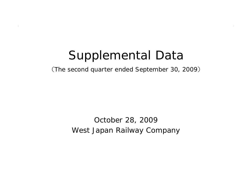# Supplemental Data

(The second quarter ended September 30, 2009 )

West Japan Railway Company October 28, 2009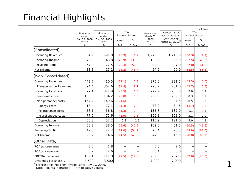## Financial Highlights

|                                |                       |                                          |        |            |                   |                                 |        | ¥ Billions |
|--------------------------------|-----------------------|------------------------------------------|--------|------------|-------------------|---------------------------------|--------|------------|
|                                | 6 months              | YOY<br>6 months<br>Increase / (Decrease) |        | Year ended | Forecast as of    | YOY<br>Increase / (Decrease)    |        |            |
|                                | ended<br>Sep 30, 2008 | ended<br>Sep 30, 2009                    |        |            | March 31,<br>2009 | Oct 28, 2009 for<br>year ending |        |            |
|                                | $4/1 - 9/30$          | $4/1 - 9/30$                             | Amount | %          | $4/1 - 3/31$      | March 31, 2010*                 | Amount | %          |
|                                | Α                     | B                                        | $B-A$  | $1-B/A$    | $\overline{C}$    | D                               | $D-C$  | $1-D/C$    |
| [Consolidated]                 |                       |                                          |        |            |                   |                                 |        |            |
| <b>Operating Revenues</b>      | 634.9                 | 591.0                                    | (43.9) | (6.9)      | 1,275.3           | 1,215.0                         | (60.3) | (4.7)      |
| Operating Income               | 72.8                  | 43.8                                     | (28.9) | (39.8)     | 122.5             | 65.0                            | (57.5) | (46.9)     |
| <b>Recurring Profit</b>        | 57.0                  | 27.5                                     | (29.4) | (51.6)     | 94.8              | 37.0                            | (57.8) | (61.0)     |
| Net Income                     | 33.3                  | 17.1                                     | (16.2) | (48.7)     | 54.5              | 20.0                            | (34.5) | (63.3)     |
| 【Non-Consolidated】             |                       |                                          |        |            |                   |                                 |        |            |
| <b>Operating Revenues</b>      | 442.7                 | 410.5                                    | (32.1) | (7.3)      | 875.0             | 831.5                           | (43.5) | (5.0)      |
| <b>Transportation Revenues</b> | 394.4                 | 362.6                                    | (31.8) | (8.1)      | 773.7             | 731.0                           | (42.7) | (5.5)      |
| <b>Operating Expenses</b>      | 377.4                 | 371.9                                    | (5.5)  | (1.5)      | 772.9             | 780.0                           | 7.0    | 0.9        |
| Personnel costs                | 135.0                 | 134.2                                    | (0.8)  | (0.6)      | 268.6             | 269.0                           | 0.3    | 0.1        |
| Non personnel costs            | 154.2                 | 149.6                                    | (4.6)  | (3.0)      | 333.9             | 334.5                           | 0.5    | 0.2        |
| Energy costs                   | 18.4                  | 17.1                                     | (1.3)  | (7.3)      | 38.2              | 34.5                            | (3.7)  | (9.8)      |
| Maintenance costs              | 58.1                  | 56.8                                     | (1.3)  | (2.4)      | 135.8             | 137.0                           | 1.1    | 0.8        |
| Miscellaneous costs            | 77.5                  | 75.6                                     | (1.9)  | (2.5)      | 159.8             | 163.0                           | 3.1    | 2.0        |
| Depreciation                   | 56.3                  | 57.2                                     | 0.8    | 1.5        | 115.9             | 121.0                           | 5.0    | 4.4        |
| Operating Income               | 65.2                  | 38.5                                     | (26.6) | (40.9)     | 102.0             | 51.5                            | (50.5) | (49.6)     |
| <b>Recurring Profit</b>        | 49.3                  | 22.2                                     | (27.0) | (54.9)     | 73.4              | 23.5                            | (49.9) | (68.0)     |
| Net Income                     | 29.2                  | 14.6                                     | (14.5) | (49.9)     | 44.3              | 15.5                            | (28.8) | (65.1)     |
| (Other Data)                   |                       |                                          |        |            |                   |                                 |        |            |
| ROA (%, Consolidated)          | 3.0                   | 1.8                                      | —      |            | 5.0               | 2.6                             |        |            |
| ROE (%, Consolidated)          | 5.2                   | 2.6                                      |        |            | 8.4               | 3.0                             |        |            |
| EBITDA (Consolidated)          | 139.4                 | 111.8                                    | (27.5) | (19.8)     | 259.5             | 207.5                           | (52.0) | (20.0)     |
| Dividends per share $(*)$      | 3,500                 | 3,500                                    |        |            | 7,000             | 7,000                           |        |            |

※Forecast has not been revised since July 29, 2009.

Note: Figures in bracket ( ) are negative values.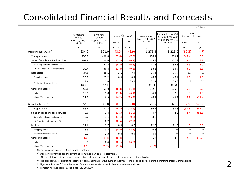### Consolidated Financial Results and Forecasts

|                                          | 6 months<br>ended<br>Sep 30, 2008<br>$4/1 - 9/30$ | 6 months<br>ended<br>Sep 30, 2009<br>$4/1 - 9/30$ | YOY<br>Increase / (Decrease)<br>%<br>Amount |           | Year ended<br>March 31, 2009<br>$4/1 - 3/31$ | Forecast as of Oct<br>28, 2009 for year<br>ending March 31,<br>2010 <sup>*4</sup> | YOY<br>Increase / (Decrease)<br>Amount | %       |
|------------------------------------------|---------------------------------------------------|---------------------------------------------------|---------------------------------------------|-----------|----------------------------------------------|-----------------------------------------------------------------------------------|----------------------------------------|---------|
|                                          | A                                                 | B                                                 | $B - A$                                     | $1 - B/A$ | C.                                           | D                                                                                 | $D-C$                                  | $1-D/C$ |
| Operating Revenues* <sup>1</sup>         | 634.9                                             | 591.0                                             | (43.9)                                      | (6.9)     | 1,275.3                                      | 1,215.0                                                                           | (60.3)                                 | (4.7)   |
| Transportation                           | 433.2                                             | 400.8                                             | (32.4)                                      | (7.5)     | 856.1                                        | 810.7                                                                             | (45.4)                                 | (5.3)   |
| Sales of goods and food services         | 107.8                                             | 100.6                                             | (7.2)                                       | (6.7)     | 215.3                                        | 207.2                                                                             | (8.1)                                  | (3.8)   |
| Sales of goods and food services         | 72.1                                              | 67.2                                              | (4.8)                                       | (6.8)     | 141.8                                        | 136.3                                                                             | (5.5)                                  | (3.9)   |
| JR Kyoto Isetan Department Store         | 33.4                                              | 30.4                                              | (3.0)                                       | (9.1)     | 68.6                                         | 64.7                                                                              | (3.9)                                  | (5.8)   |
| Real estate                              | 34.0                                              | 36.5                                              | 2.5                                         | 7.4       | 71.1                                         | 71.3                                                                              | 0.1                                    | 0.2     |
| Shopping center                          | 23.2                                              | 23.2                                              | 0.0                                         | 0.1       | 46.9                                         | 46.4                                                                              | (0.5)                                  | (1.1)   |
| Real estate lease and sale* <sup>3</sup> | 9.8                                               | 12.6                                              | 2.7                                         | 28.3      | 22.2                                         | 23.6                                                                              | 1.3                                    | $6.0$   |
|                                          | [0.2]                                             | [2.5]                                             |                                             |           | [3.1]                                        | [2.5]                                                                             |                                        |         |
| Other businesses                         | 59.8                                              | 53.0                                              | (6.8)                                       | (11.4)    | 132.6                                        | 125.8                                                                             | (6.8)                                  | (5.1)   |
| Hotel                                    | 16.9                                              | 15.8                                              | (1.0)                                       | (6.4)     | 34.4                                         | 32.9                                                                              | (1.5)                                  | (4.5)   |
| Nippon Travel Agency                     | 21.2                                              | 16.9                                              | (4.2)                                       | (19.9)    | 46.1                                         | 40.9                                                                              | (5.2)                                  | (11.4)  |
| Operating Income <sup>*2</sup>           | 72.8                                              | 43.8                                              | (28.9)                                      | (39.8)    | 122.5                                        | 65.0                                                                              | (57.5)                                 | (46.9)  |
| Transportation                           | 58.6                                              | 31.8                                              | (26.7)                                      | (45.6)    | 89.1                                         | 38.3                                                                              | (50.8)                                 | (57.0)  |
| Sales of goods and food services         | 3.0                                               | 1.4                                               | (1.5)                                       | (51.0)    | 4.7                                          | 2.3                                                                               | (2.4)                                  | (51.8)  |
| Sales of goods and food services         | 2.2                                               | 1.1                                               | (1.1)                                       | (50.2)    | 3.0                                          |                                                                                   |                                        |         |
| JR Kyoto Isetan Department Store         | 0.7                                               | 0.2                                               | (0.5)                                       | (72.7)    | 1.6                                          |                                                                                   |                                        |         |
| Real estate                              | 11.6                                              | 11.7                                              | 0.0                                         | 0.5       | 22.6                                         | 21.3                                                                              | (1.3)                                  | (5.8)   |
| Shopping center                          | 3.5                                               | 3.4                                               | (0.0)                                       | (2.5)     | 6.8                                          |                                                                                   |                                        |         |
| Real estate lease and sale               | 2.3                                               | 2.3                                               | 0.0                                         | 0.4       | 4.4                                          |                                                                                   |                                        |         |
| Other businesses                         | (1.0)                                             | (1.4)                                             | (0.4)                                       |           | 6.7                                          | 3.8                                                                               | (2.9)                                  | (43.5)  |
| Hotel                                    | 0.5                                               | 0.4                                               | (0.1)                                       | (16.9)    | 1.8                                          |                                                                                   |                                        |         |
| Nippon Travel Agency                     | (2.1)                                             | (3.2)                                             | (1.0)                                       |           | (1.3)                                        |                                                                                   |                                        |         |

Note: Figures in bracket ( ) are negative values.

 $*$ <sup>1</sup> Operating revenues are the revenues from third parties ( = customers).

The breakdowns of operating revenues by each segment are the sums of revenues of major subsidiaries.

\*<sup>2</sup> The breakdowns of operating income by each segment are the sums of incomes of major subsidiaries before eliminating internal transactions.

\*<sup>3</sup> Figures in bracket [ ] are the sales of condominiums. (Included in Real estate lease and sale)

\*4 Forecast has not been revised since July 29,2009.

¥Billions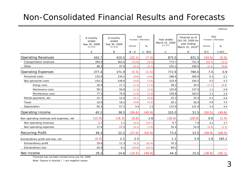#### Non-Consolidated Financial Results and Forecasts

¥Billions

|                                          | 6 months<br>ended            | 6 months<br>ended            | YOY<br>Increase / (Decrease) |           | Year ended<br>March 31, 2009 | Forecast as of<br>Oct 28, 2009 for | YOY<br>Increase / (Decrease) |         |
|------------------------------------------|------------------------------|------------------------------|------------------------------|-----------|------------------------------|------------------------------------|------------------------------|---------|
|                                          | Sep 30, 2008<br>$4/1 - 9/30$ | Sep 30, 2009<br>$4/1 - 9/30$ | Amount                       | %         | $4/1 - 3/31$                 | year ending<br>March 31, 2010*     | Amount                       | %       |
|                                          | Α                            | B                            | $B - A$                      | $1 - B/A$ | $\mathsf C$                  | D                                  | $D-C$                        | $1-D/C$ |
| <b>Operating Revenues</b>                | 442.7                        | 410.5                        | (32.1)                       | (7.3)     | 875.0                        | 831.5                              | (43.5)                       | (5.0)   |
| Transportation revenues                  | 394.4                        | 362.6                        | (31.8)                       | (8.1)     | 773.7                        | 731.0                              | (42.7)                       | (5.5)   |
| Other                                    | 48.3                         | 47.9                         | (0.3)                        | (0.7)     | 101.2                        | 100.5                              | (0.7)                        | (0.8)   |
| <b>Operating Expenses</b>                | 377.4                        | 371.9                        | (5.5)                        | (1.5)     | 772.9                        | 780.0                              | 7.0                          | 0.9     |
| Personnel costs                          | 135.0                        | 134.2                        | (0.8)                        | (0.6)     | 268.6                        | 269.0                              | 0.3                          | 0.1     |
| Non personnel costs                      | 154.2                        | 149.6                        | (4.6)                        | (3.0)     | 333.9                        | 334.5                              | 0.5                          | 0.2     |
| Energy costs                             | 18.4                         | 17.1                         | (1.3)                        | (7.3)     | 38.2                         | 34.5                               | (3.7)                        | (9.8)   |
| Maintenance costs                        | 58.1                         | 56.8                         | (1.3)                        | (2.4)     | 135.8                        | 137.0                              | 1.1                          | 0.8     |
| Miscellaneous costs                      | 77.5                         | 75.6                         | (1.9)                        | (2.5)     | 159.8                        | 163.0                              | 3.1                          | 2.0     |
| Rental payments, etc.                    | 12.7                         | 12.6                         | (0.1)                        | (0.8)     | 25.3                         | 25.5                               | 0.1                          | 0.6     |
| Taxes                                    | 19.0                         | 18.2                         | (0.8)                        | (4.2)     | 29.1                         | 30.0                               | 0.8                          | 3.0     |
| Depreciation                             | 56.3                         | 57.2                         | 0.8                          | 1.5       | 115.9                        | 121.0                              | 5.0                          | 4.4     |
| Operating Income                         | 65.2                         | 38.5                         | (26.6)                       | (40.9)    | 102.0                        | 51.5                               | (50.5)                       | (49.6)  |
| Non-operating revenues and expenses, net | (15.9)                       | (16.3)                       | (0.4)                        | 2.6       | (28.6)                       | (28.0)                             | 0.6                          | (2.4)   |
| Non-operating revenues                   | 1.7                          | 1.1                          | (0.5)                        | (33.7)    | 6.7                          | 7.0                                | 0.2                          | 3.7     |
| Non-operating expenses                   | 17.6                         | 17.5                         | (0.1)                        | (1.0)     | 35.4                         | 35.0                               | (0.4)                        | (1.2)   |
| <b>Recurring Profit</b>                  | 49.3                         | 22.2                         | (27.0)                       | (54.9)    | 73.4                         | 23.5                               | (49.9)                       | (68.0)  |
| Extraordinary profit and loss, net       | (0.4)                        | 2.1                          | 2.5                          |           | 1.1                          | 3.0                                | 1.8                          | 165.2   |
| Extraordinary profit                     | 19.6                         | 11.3                         | (8.3)                        | (42.4)    | 70.3                         |                                    |                              |         |
| <b>Extraordinary loss</b>                | 20.0                         | 9.1                          | (10.8)                       | (54.3)    | 69.2                         |                                    |                              |         |
| Net Income                               | 29.2                         | 14.6                         | (14.5)                       | (49.9)    | 44.3                         | 15.5                               | (28.8)                       | (65.1)  |

※Forecast has not been revised since July 29, 2009.

Note: Figures in bracket ( ) are negative values.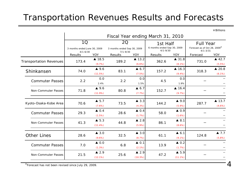### Transportation Revenues Results and Forecasts

¥Billions

|                                | Fiscal Year ending March 31, 2010                  |                               |                                                   |                              |                                                         |                               |                                                                  |                                   |
|--------------------------------|----------------------------------------------------|-------------------------------|---------------------------------------------------|------------------------------|---------------------------------------------------------|-------------------------------|------------------------------------------------------------------|-----------------------------------|
|                                | 1Q<br>3 months ended June 30, 2009<br>$4/1 - 6/30$ |                               | 2Q<br>3 months ended Sep 30, 2009<br>$7/1 - 9/30$ |                              | 1st Half<br>6 months ended Sep 30, 2009<br>$4/1 - 9/30$ |                               | <b>Full Year</b><br>Forecast as of Oct 28, 2009*<br>$4/1 - 3/31$ |                                   |
|                                | Results                                            | <b>YOY</b>                    | Results                                           | <b>YOY</b>                   | <b>Results</b>                                          | <b>YOY</b>                    | Forecast                                                         | YOY                               |
| <b>Transportation Revenues</b> | 173.4                                              | ▲ 18.5<br>(9.7%)              | 189.2                                             | $\triangle$ 13.2<br>(6.6%)   | 362.6                                                   | $\triangle$ 31.8<br>$(8.1\%)$ | 731.0                                                            | $\triangle$ 42.7<br>(5.5%)        |
| Shinkansen                     | 74.0                                               | $\triangle$ 9.6<br>(11.5%)    | 83.1                                              | $\triangle 6.7$<br>(7.5%)    | 157.2                                                   | $\triangle$ 16.3<br>(9.4%)    | 318.3                                                            | $\triangle$ 20.8<br>$(6.1\%)$     |
| <b>Commuter Passes</b>         | 2.2                                                | 0.0<br>2.4%                   | 2.2                                               | 0.0<br>1.5%                  | 4.5                                                     | 0.0<br>1.9%                   |                                                                  |                                   |
| Non-Commuter Passes            | 71.8                                               | $\triangle$ 9.6<br>(11.9%)    | 80.8                                              | $\triangle 6.7$<br>(7.7%)    | 152.7                                                   | $\triangle$ 16.4<br>(9.7%)    |                                                                  |                                   |
| Kyoto-Osaka-Kobe Area          | 70.6                                               | $\triangle$ 5.7<br>(7.6%)     | 73.5                                              | $\triangle$ 3.3<br>(4.3%)    | 144.2                                                   | $\triangle$ 9.0<br>$(5.9\%)$  | 287.7                                                            | $\triangle$ 13.7<br>$(4.6\%)$     |
| <b>Commuter Passes</b>         | 29.3                                               | $\triangle$ 0.4<br>(1.5%)     | 28.6                                              | $\triangle$ 0.4<br>(1.7%)    | 58.0                                                    | $\triangle$ 0.9<br>(1.6%)     |                                                                  |                                   |
| Non-Commuter Passes            | 41.3                                               | $\triangle$ 5.3<br>$(11.4\%)$ | 44.8                                              | $\triangle$ 2.8<br>$(5.9\%)$ | 86.1                                                    | $\triangle$ 8.1<br>$(8.6\%)$  |                                                                  |                                   |
| <b>Other Lines</b>             | 28.6                                               | $\triangle$ 3.0<br>$(9.6\%)$  | 32.5                                              | $\triangle$ 3.0<br>(8.7%)    | 61.1                                                    | $\triangle 6.1$<br>$(9.1\%)$  | 124.8                                                            | $\blacktriangle$ 7.7<br>$(5.8\%)$ |
| <b>Commuter Passes</b>         | 7.0                                                | $\triangle$ 0.0<br>$(1.3\%)$  | 6.8                                               | $\triangle$ 0.1<br>(2.1%)    | 13.9                                                    | $\triangle$ 0.2<br>(1.7%)     |                                                                  |                                   |
| <b>Non-Commuter Passes</b>     | 21.5                                               | $\triangle$ 2.9<br>$(12.1\%)$ | 25.6                                              | $\triangle$ 2.9<br>(10.3%)   | 47.2                                                    | $\triangle$ 5.9<br>$(11.1\%)$ |                                                                  |                                   |

※Forecast has not been revised since July 29, 2009.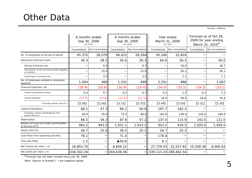### Other Data

Persons, ¥Billions

|                                                                    |              | 6 months ended<br>Sep 30, 2008<br>$4/1 - 9/30$ | 6 months ended<br>Sep 30, 2009<br>$4/1 - 9/30$ |                  |              | Year ended<br>March 31, 2009<br>$4/1 - 3/31$ | Forecast as of Oct 28,<br>2009 for year ending<br>March 31, 2010* |                  |
|--------------------------------------------------------------------|--------------|------------------------------------------------|------------------------------------------------|------------------|--------------|----------------------------------------------|-------------------------------------------------------------------|------------------|
|                                                                    | Consolidated | Non-Consolidated                               | Consolidated                                   | Non-Consolidated | Consolidated | Non-Consolidated                             | Consolidated                                                      | Non-Consolidated |
| No. of employees at the end of period                              | 45,375       | 26,079                                         | 46,423                                         | 26,594           | 45,240       | 25,824                                       |                                                                   |                  |
| <b>Retirement Payment Costs</b>                                    | 30.3         | 28.2                                           | 30.6                                           | 28.3             | 60.8         | 56.2                                         |                                                                   | 56.0             |
| Service & Interest cost                                            |              | 9.5                                            |                                                | 9.7              |              | 19.0                                         |                                                                   | 18.7             |
| Amortization of net retirement benefit obligation<br>at transition |              | 15.0                                           |                                                | 15.0             |              | 30.1                                         |                                                                   | 30.1             |
| Amortization of actuarial loss                                     |              | 3.5                                            |                                                | 3.5              |              | 7.1                                          |                                                                   | 7.1              |
| No. of employees entitled to retirement<br>payment                 | 1,004        | 468                                            | 1,101                                          | 498              | 2,251        | 968                                          |                                                                   | 1,007            |
| Financial Expenses, net                                            | (16.9)       | (16.6)                                         | (16.9)                                         | (16.4)           | (34.0)       | (33.5)                                       | (34.3)                                                            | (33.1)           |
| Interest and dividend income                                       | 0.3          | 0.7                                            | 0.2                                            | 0.7              | 0.5          | 1.3                                          | 0.5                                                               | 1.2              |
| Interest expenses                                                  | (17.2)       | (17.4)                                         | (17.1)                                         | (17.1)           | 34.5         | 34.9                                         | 34.8                                                              | 34.4             |
| [Average interest rate (%) ]                                       | [3.56]       | [3.56]                                         | $[3.31]$                                       | [3.32]           | [3.49]       | $[3.50]$                                     | [3.31]                                                            | $[3.30]$         |
| Capital Expenditure                                                | 68.2         | 47.3                                           | 84.1                                           | 56.6             | 197.7        | 162.2                                        |                                                                   |                  |
| Excluding a portion contributed by local<br>governments etc.       | 56.4         | 35.6                                           | 75.5                                           | 48.0             | 163.9        | 128.4                                        | 230.0                                                             | 180.0            |
| Depreciation                                                       | 66.5         | 56.3                                           | 67.9                                           | 57.2             | 137.0        | 115.9                                        | 142.5                                                             | 121.0            |
| Balance of Long-term Debt and Payables<br>at the end of FY         | 963.2        | 943.0                                          | 1,031.1                                        | 1,013.1          | 953.2        | 934.3                                        | 1,020.0                                                           | 1,005.0          |
| Equity ratio (%)                                                   | 26.7         | 25.6                                           | 26.5                                           | 25.1             | 26.7         | 25.3                                         |                                                                   |                  |
| Cash flows from operating activities                               | 76.1         |                                                | 71.4                                           |                  | 178.8        |                                              |                                                                   |                  |
| Free cash flows                                                    | 1.2          |                                                | ▲50.6                                          |                  | 6.1          |                                              |                                                                   |                  |
| Net income per share $(*)$                                         | 16,853.70    |                                                | 8,844.12                                       |                  | 27,729.03    | 22,557.62                                    | 10,328.36                                                         | 8,000.63         |
| Net assets per share $(4)$                                         | 334,302.24   |                                                | 344,638.46                                     |                  |              | 339, 113. 24 289, 462. 54                    |                                                                   |                  |

※Forecast has not been revised since July 29, 2009.

Note: Figures in bracket ( ) are negative values.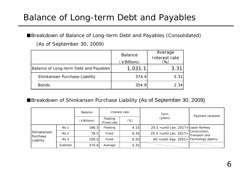### Balance of Long-term Debt and Payables

#### ■Breakdown of Balance of Long-term Debt and Payables (Consolidated)

|                                        | <b>Balance</b><br>(¥Billions) | Average<br>Interest rate<br>(96) |
|----------------------------------------|-------------------------------|----------------------------------|
| Balance of Long-term Debt and Payables | 1,031.1                       | 3.3 <sup>1</sup>                 |
| Shinkansen Purchase Liability          | 374.4                         | 5.31                             |
| <b>Bonds</b>                           | 354.9                         | 2.34                             |

#### (As of September 30, 2009)

#### ■Breakdown of Shinkansen Purchase Liability (As of September 30, 2009)

|                                      |          | Balance     |                         | Interest rate | Term                                                                                      | Payment recipient |  |
|--------------------------------------|----------|-------------|-------------------------|---------------|-------------------------------------------------------------------------------------------|-------------------|--|
|                                      |          | (¥Billions) | Floating<br>/Fixed rate | $(\%)$        | (years)                                                                                   |                   |  |
|                                      | No.1     | 186.3       | Floating                | 4.15          | 25.5 < until Jan. 2017 > Japan Railway                                                    |                   |  |
| Shinakansen<br>Purchase<br>Liability | No.2     | 78.5        | Fixed                   | 6.35          | $25.5$ <until <math="" jan.="">2017&gt;<math>\frac{3017}{100}</math>Transport and</until> | Construction,     |  |
|                                      | No.3     | 109.5       | Fixed                   | 6.55          | 60 <until 2051="" sep.=""> Technology Agency</until>                                      |                   |  |
|                                      | Subtotal | 374.4       | Average                 | 5.31          |                                                                                           |                   |  |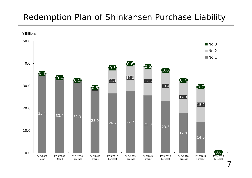#### Redemption Plan of Shinkansen Purchase Liability